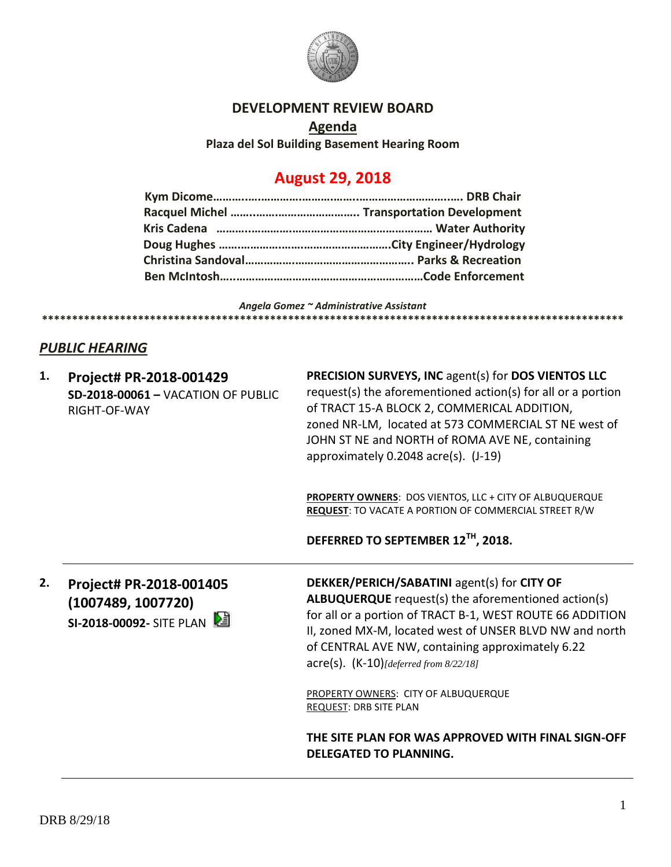

#### **DEVELOPMENT REVIEW BOARD**

**Agenda Plaza del Sol Building Basement Hearing Room**

# **August 29, 2018**

*Angela Gomez ~ Administrative Assistant*

### *PUBLIC HEARING*

**1. Project# PR-2018-001429 SD-2018-00061 –** VACATION OF PUBLIC RIGHT-OF-WAY

**PRECISION SURVEYS, INC** agent(s) for **DOS VIENTOS LLC**  request(s) the aforementioned action(s) for all or a portion of TRACT 15-A BLOCK 2, COMMERICAL ADDITION, zoned NR-LM, located at 573 COMMERCIAL ST NE west of JOHN ST NE and NORTH of ROMA AVE NE, containing approximately 0.2048 acre(s). (J-19)

**PROPERTY OWNERS**: DOS VIENTOS, LLC + CITY OF ALBUQUERQUE **REQUEST**: TO VACATE A PORTION OF COMMERCIAL STREET R/W

**DEFERRED TO SEPTEMBER 12TH, 2018.**

**\*\*\*\*\*\*\*\*\*\*\*\*\*\*\*\*\*\*\*\*\*\*\*\*\*\*\*\*\*\*\*\*\*\*\*\*\*\*\*\*\*\*\*\*\*\*\*\*\*\*\*\*\*\*\*\*\*\*\*\*\*\*\*\*\*\*\*\*\*\*\*\*\*\*\*\*\*\*\*\*\*\*\*\*\*\*\*\*\*\*\*\*\*\*\*\*\***

**2. Project# PR-2018-001405 (1007489, 1007720) SI-2018-00092-** SITE PLAN **DEKKER/PERICH/SABATINI** agent(s) for **CITY OF ALBUQUERQUE** request(s) the aforementioned action(s) for all or a portion of TRACT B-1, WEST ROUTE 66 ADDITION II, zoned MX-M, located west of UNSER BLVD NW and north of CENTRAL AVE NW, containing approximately 6.22 acre(s). (K-10)*[deferred from 8/22/18]*

PROPERTY OWNERS: CITY OF ALBUQUERQUE REQUEST: DRB SITE PLAN

**THE SITE PLAN FOR WAS APPROVED WITH FINAL SIGN-OFF DELEGATED TO PLANNING.**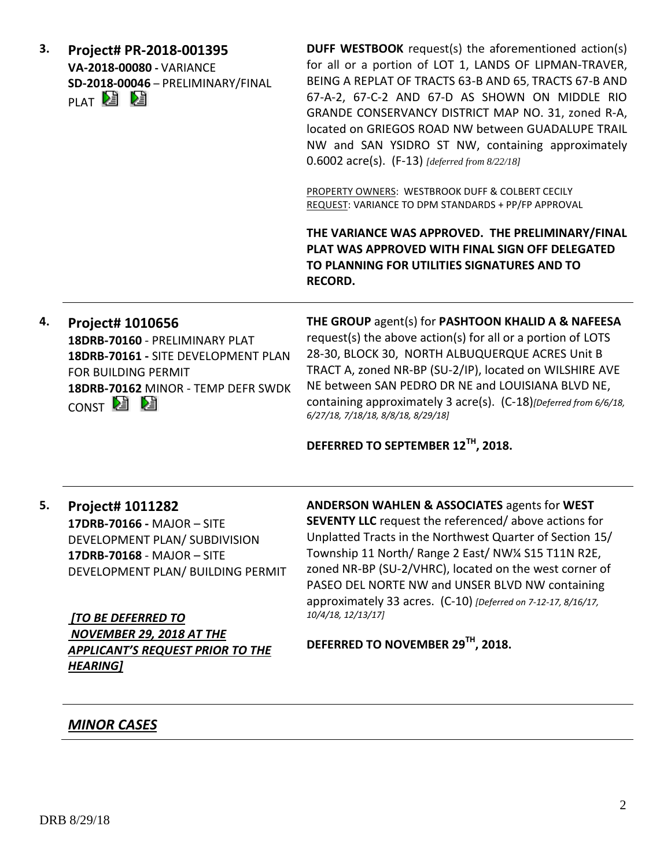| 3. | Project# PR-2018-001395<br>VA-2018-00080 - VARIANCE<br>SD-2018-00046 - PRELIMINARY/FINAL<br>plat Nei Nei                                                                       | <b>DUFF WESTBOOK</b> request(s) the aforementioned action(s)<br>for all or a portion of LOT 1, LANDS OF LIPMAN-TRAVER,<br>BEING A REPLAT OF TRACTS 63-B AND 65, TRACTS 67-B AND<br>67-A-2, 67-C-2 AND 67-D AS SHOWN ON MIDDLE RIO<br>GRANDE CONSERVANCY DISTRICT MAP NO. 31, zoned R-A,<br>located on GRIEGOS ROAD NW between GUADALUPE TRAIL<br>NW and SAN YSIDRO ST NW, containing approximately<br>0.6002 $\text{acre}(s)$ . (F-13) [deferred from 8/22/18] |
|----|--------------------------------------------------------------------------------------------------------------------------------------------------------------------------------|----------------------------------------------------------------------------------------------------------------------------------------------------------------------------------------------------------------------------------------------------------------------------------------------------------------------------------------------------------------------------------------------------------------------------------------------------------------|
|    |                                                                                                                                                                                | PROPERTY OWNERS: WESTBROOK DUFF & COLBERT CECILY<br>REQUEST: VARIANCE TO DPM STANDARDS + PP/FP APPROVAL                                                                                                                                                                                                                                                                                                                                                        |
|    |                                                                                                                                                                                | THE VARIANCE WAS APPROVED. THE PRELIMINARY/FINAL<br>PLAT WAS APPROVED WITH FINAL SIGN OFF DELEGATED<br>TO PLANNING FOR UTILITIES SIGNATURES AND TO<br><b>RECORD.</b>                                                                                                                                                                                                                                                                                           |
| 4. | Project# 1010656<br>18DRB-70160 - PRELIMINARY PLAT<br>18DRB-70161 - SITE DEVELOPMENT PLAN<br>FOR BUILDING PERMIT<br>18DRB-70162 MINOR - TEMP DEFR SWDK<br>CONST <sup>2</sup> 2 | THE GROUP agent(s) for PASHTOON KHALID A & NAFEESA<br>request(s) the above action(s) for all or a portion of LOTS<br>28-30, BLOCK 30, NORTH ALBUQUERQUE ACRES Unit B<br>TRACT A, zoned NR-BP (SU-2/IP), located on WILSHIRE AVE<br>NE between SAN PEDRO DR NE and LOUISIANA BLVD NE,<br>containing approximately 3 acre(s). (C-18)[Deferred from 6/6/18,<br>6/27/18, 7/18/18, 8/8/18, 8/29/18]                                                                 |
|    |                                                                                                                                                                                | DEFERRED TO SEPTEMBER 12TH, 2018.                                                                                                                                                                                                                                                                                                                                                                                                                              |
| 5. | Project# 1011282<br>17DRB-70166 - MAJOR - SITE<br>DEVELOPMENT PLAN/ SUBDIVISION<br>17DRB-70168 - MAJOR - SITE<br>DEVELOPMENT PLAN/ BUILDING PERMIT                             | <b>ANDERSON WAHLEN &amp; ASSOCIATES agents for WEST</b><br><b>SEVENTY LLC</b> request the referenced/above actions for<br>Unplatted Tracts in the Northwest Quarter of Section 15/<br>Township 11 North/ Range 2 East/ NW1/4 S15 T11N R2E,<br>zoned NR-BP (SU-2/VHRC), located on the west corner of<br>PASEO DEL NORTE NW and UNSER BLVD NW containing                                                                                                        |
|    | [TO BE DEFERRED TO<br>NOVEMBER 29, 2018 AT THE                                                                                                                                 | approximately 33 acres. (C-10) [Deferred on 7-12-17, 8/16/17,<br>10/4/18, 12/13/17]                                                                                                                                                                                                                                                                                                                                                                            |
|    | <b>APPLICANT'S REQUEST PRIOR TO THE</b><br><b>HEARING]</b>                                                                                                                     | DEFERRED TO NOVEMBER 29TH, 2018.                                                                                                                                                                                                                                                                                                                                                                                                                               |
|    | <b>MINOR CASES</b>                                                                                                                                                             |                                                                                                                                                                                                                                                                                                                                                                                                                                                                |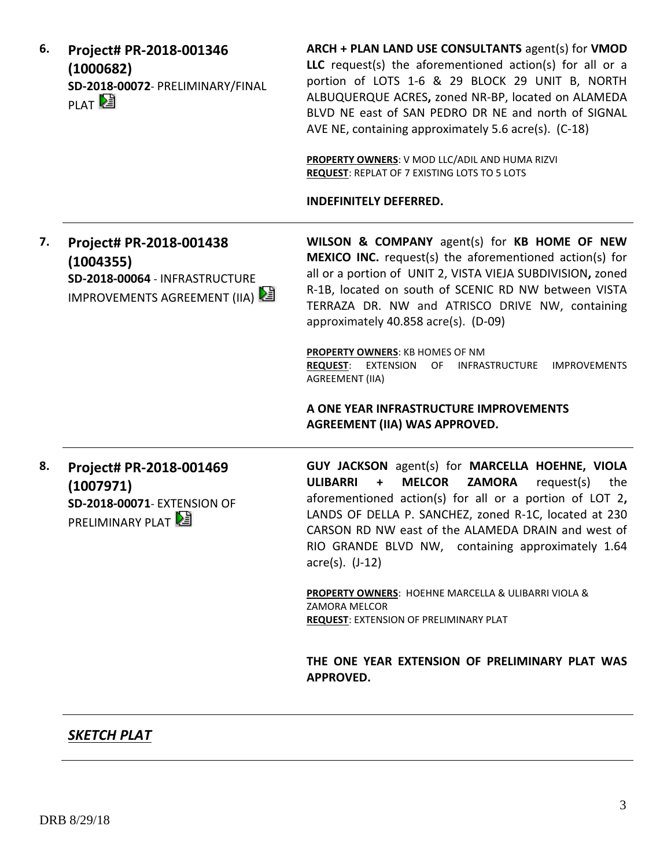| 6. | Project# PR-2018-001346<br>(1000682)<br>SD-2018-00072- PRELIMINARY/FINAL<br>PLAT <sup>D</sup>          | ARCH + PLAN LAND USE CONSULTANTS agent(s) for VMOD<br>LLC request(s) the aforementioned action(s) for all or a<br>portion of LOTS 1-6 & 29 BLOCK 29 UNIT B, NORTH<br>ALBUQUERQUE ACRES, zoned NR-BP, located on ALAMEDA<br>BLVD NE east of SAN PEDRO DR NE and north of SIGNAL<br>AVE NE, containing approximately 5.6 acre(s). (C-18)<br>PROPERTY OWNERS: V MOD LLC/ADIL AND HUMA RIZVI<br>REQUEST: REPLAT OF 7 EXISTING LOTS TO 5 LOTS<br><b>INDEFINITELY DEFERRED.</b>                                                                                                   |
|----|--------------------------------------------------------------------------------------------------------|-----------------------------------------------------------------------------------------------------------------------------------------------------------------------------------------------------------------------------------------------------------------------------------------------------------------------------------------------------------------------------------------------------------------------------------------------------------------------------------------------------------------------------------------------------------------------------|
| 7. | Project# PR-2018-001438<br>(1004355)<br>SD-2018-00064 - INFRASTRUCTURE<br>IMPROVEMENTS AGREEMENT (IIA) | WILSON & COMPANY agent(s) for KB HOME OF NEW<br><b>MEXICO INC.</b> request(s) the aforementioned action(s) for<br>all or a portion of UNIT 2, VISTA VIEJA SUBDIVISION, zoned<br>R-1B, located on south of SCENIC RD NW between VISTA<br>TERRAZA DR. NW and ATRISCO DRIVE NW, containing<br>approximately 40.858 acre(s). (D-09)<br><b>PROPERTY OWNERS: KB HOMES OF NM</b><br><b>REQUEST:</b><br><b>EXTENSION</b><br>OF<br>INFRASTRUCTURE<br><b>IMPROVEMENTS</b><br><b>AGREEMENT (IIA)</b><br>A ONE YEAR INFRASTRUCTURE IMPROVEMENTS<br><b>AGREEMENT (IIA) WAS APPROVED.</b> |
| 8. | Project# PR-2018-001469<br>(1007971)<br><b>SD-2018-00071-EXTENSION OF</b><br>PRELIMINARY PLAT          | GUY JACKSON agent(s) for MARCELLA HOEHNE, VIOLA<br><b>ULIBARRI</b><br><b>MELCOR</b><br><b>ZAMORA</b><br>request(s)<br>$\ddot{}$<br>the<br>aforementioned action(s) for all or a portion of LOT 2,<br>LANDS OF DELLA P. SANCHEZ, zoned R-1C, located at 230<br>CARSON RD NW east of the ALAMEDA DRAIN and west of<br>RIO GRANDE BLVD NW, containing approximately 1.64<br>$\arccos(5)$ . $(J-12)$<br>PROPERTY OWNERS: HOEHNE MARCELLA & ULIBARRI VIOLA &<br><b>ZAMORA MELCOR</b>                                                                                             |
|    |                                                                                                        | <b>REQUEST: EXTENSION OF PRELIMINARY PLAT</b><br>THE ONE YEAR EXTENSION OF PRELIMINARY PLAT WAS<br><b>APPROVED.</b>                                                                                                                                                                                                                                                                                                                                                                                                                                                         |

## *SKETCH PLAT*